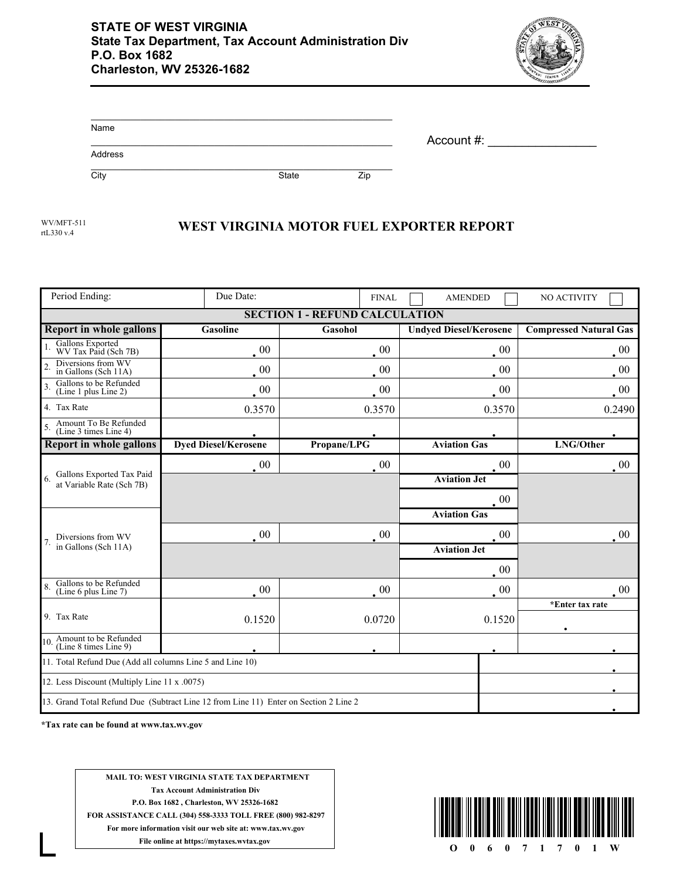

| Name    |              |     | Account #: |
|---------|--------------|-----|------------|
| Address |              |     |            |
| City    | <b>State</b> | Zip |            |

rtL330 v.4

## WV/MFT-511<br>WEST VIRGINIA MOTOR FUEL EXPORTER REPORT

| Period Ending:                                                                       | Due Date:                   | <b>FINAL</b> | <b>AMENDED</b>                | NO ACTIVITY                   |  |  |  |  |
|--------------------------------------------------------------------------------------|-----------------------------|--------------|-------------------------------|-------------------------------|--|--|--|--|
| <b>SECTION</b><br>ATION<br>CALCU                                                     |                             |              |                               |                               |  |  |  |  |
| <b>Report in whole gallons</b>                                                       | <b>Gasoline</b>             | Gasohol      | <b>Undyed Diesel/Kerosene</b> | <b>Compressed Natural Gas</b> |  |  |  |  |
| Gallons Exported<br>WV Tax Paid (Sch 7B)                                             | $\cdot$ 00                  | $00\,$       | $00\,$                        | 00                            |  |  |  |  |
| Diversions from WV<br>$\overline{2}$<br>in Gallons (Sch 11A)                         | $00\,$                      | 00           | $00\,$                        | 00                            |  |  |  |  |
| Gallons to be Refunded<br>$\overline{3}$<br>(Line 1 plus Line 2)                     | $\overline{00}$             | $00\,$       | $00\,$                        | $00\,$                        |  |  |  |  |
| 4. Tax Rate                                                                          | 0.3570                      | 0.3570       | 0.3570                        | 0.2490                        |  |  |  |  |
| Amount To Be Refunded<br>(Line 3 times Line 4)                                       |                             |              |                               |                               |  |  |  |  |
| <b>Report in whole gallons</b>                                                       | <b>Dyed Diesel/Kerosene</b> | Propane/LPG  | <b>Aviation Gas</b>           | LNG/Other                     |  |  |  |  |
| Gallons Exported Tax Paid<br>at Variable Rate (Sch 7B)                               | $\cdot$ 00                  | $\cdot$ 00   | $00\,$                        | $00\,$                        |  |  |  |  |
|                                                                                      |                             |              | <b>Aviation Jet</b>           |                               |  |  |  |  |
|                                                                                      |                             |              | 00                            |                               |  |  |  |  |
| Diversions from WV<br>in Gallons (Sch 11A)                                           |                             |              | <b>Aviation Gas</b>           |                               |  |  |  |  |
|                                                                                      | $\cdot$ 00                  | $00\,$       | $00\,$                        | $00\,$                        |  |  |  |  |
|                                                                                      |                             |              | <b>Aviation Jet</b>           |                               |  |  |  |  |
|                                                                                      |                             |              | $00\,$                        |                               |  |  |  |  |
| Gallons to be Refunded<br>(Line 6 plus Line 7)                                       | $\cdot$ 00                  | $00\,$       | $\cdot$ 00                    | $00\,$                        |  |  |  |  |
|                                                                                      |                             |              |                               | *Enter tax rate               |  |  |  |  |
| 9. Tax Rate                                                                          | 0.1520                      | 0.0720       | 0.1520                        |                               |  |  |  |  |
| 10. Amount to be Refunded<br>(Line 8 times Line 9)                                   |                             |              |                               |                               |  |  |  |  |
| 11. Total Refund Due (Add all columns Line 5 and Line 10)                            |                             |              |                               |                               |  |  |  |  |
| 12. Less Discount (Multiply Line 11 x .0075)                                         |                             |              |                               |                               |  |  |  |  |
| 13. Grand Total Refund Due (Subtract Line 12 from Line 11) Enter on Section 2 Line 2 |                             |              |                               |                               |  |  |  |  |

**\*Tax rate can be found at www.tax.wv.gov**

**MAIL TO: WEST VIRGINIA STATE TAX DEPARTMENT Tax Account Administration Div P.O. Box 1682 , Charleston, WV 25326-1682 FOR ASSISTANCE CALL (304) 558-3333 TOLL FREE (800) 982-8297 For more information visit our web site at: www.tax.wv.gov File online at https://mytaxes.wvtax.gov**